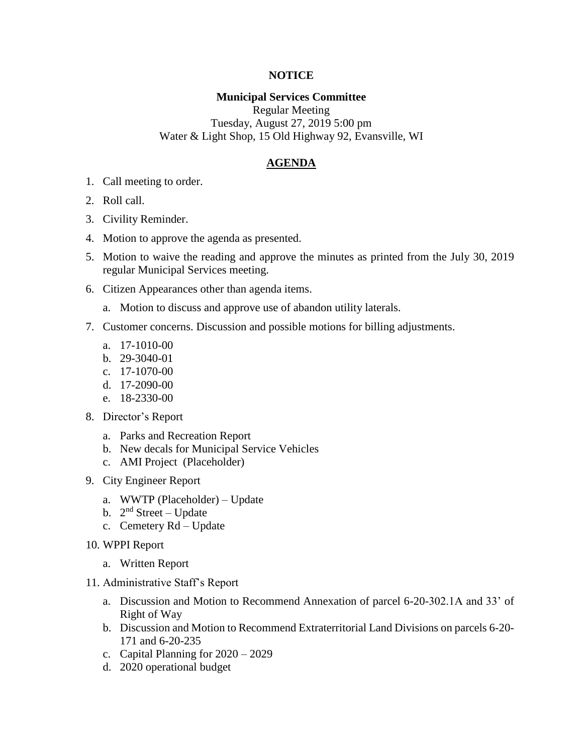## **NOTICE**

## **Municipal Services Committee**

Regular Meeting Tuesday, August 27, 2019 5:00 pm Water & Light Shop, 15 Old Highway 92, Evansville, WI

## **AGENDA**

- 1. Call meeting to order.
- 2. Roll call.
- 3. Civility Reminder.
- 4. Motion to approve the agenda as presented.
- 5. Motion to waive the reading and approve the minutes as printed from the July 30, 2019 regular Municipal Services meeting.
- 6. Citizen Appearances other than agenda items.
	- a. Motion to discuss and approve use of abandon utility laterals.
- 7. Customer concerns. Discussion and possible motions for billing adjustments.
	- a. 17-1010-00
	- b. 29-3040-01
	- c. 17-1070-00
	- d. 17-2090-00
	- e. 18-2330-00
- 8. Director's Report
	- a. Parks and Recreation Report
	- b. New decals for Municipal Service Vehicles
	- c. AMI Project (Placeholder)
- 9. City Engineer Report
	- a. WWTP (Placeholder) Update
	- b. 2<sup>nd</sup> Street Update
	- c. Cemetery Rd Update
- 10. WPPI Report
	- a. Written Report
- 11. Administrative Staff's Report
	- a. Discussion and Motion to Recommend Annexation of parcel 6-20-302.1A and 33' of Right of Way
	- b. Discussion and Motion to Recommend Extraterritorial Land Divisions on parcels 6-20- 171 and 6-20-235
	- c. Capital Planning for 2020 2029
	- d. 2020 operational budget